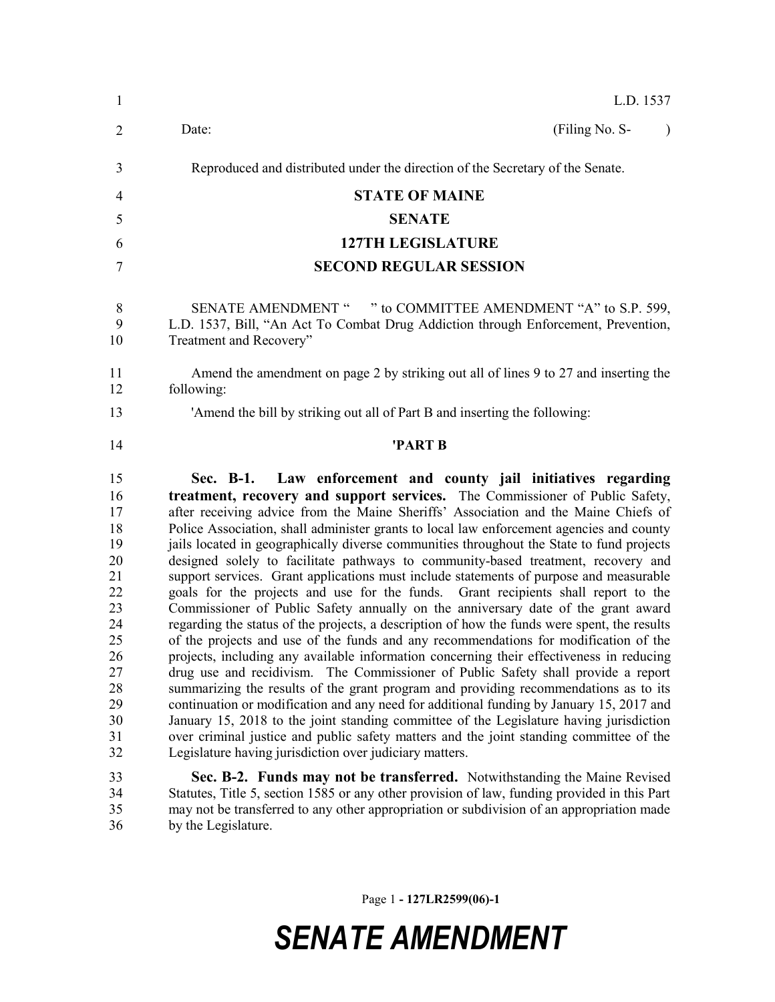| $\mathbf{1}$                                                                                                   | L.D. 1537                                                                                                                                                                                                                                                                                                                                                                                                                                                                                                                                                                                                                                                                                                                                                                                                                                                                                                                                                                                                                                                                                                                                                                                                                                                                                                                                                                                                                                                                                                                                                                                                                                                                            |  |  |  |  |
|----------------------------------------------------------------------------------------------------------------|--------------------------------------------------------------------------------------------------------------------------------------------------------------------------------------------------------------------------------------------------------------------------------------------------------------------------------------------------------------------------------------------------------------------------------------------------------------------------------------------------------------------------------------------------------------------------------------------------------------------------------------------------------------------------------------------------------------------------------------------------------------------------------------------------------------------------------------------------------------------------------------------------------------------------------------------------------------------------------------------------------------------------------------------------------------------------------------------------------------------------------------------------------------------------------------------------------------------------------------------------------------------------------------------------------------------------------------------------------------------------------------------------------------------------------------------------------------------------------------------------------------------------------------------------------------------------------------------------------------------------------------------------------------------------------------|--|--|--|--|
| $\overline{2}$                                                                                                 | Date:<br>(Filing No. S-<br>$\mathcal{L}$                                                                                                                                                                                                                                                                                                                                                                                                                                                                                                                                                                                                                                                                                                                                                                                                                                                                                                                                                                                                                                                                                                                                                                                                                                                                                                                                                                                                                                                                                                                                                                                                                                             |  |  |  |  |
| 3                                                                                                              | Reproduced and distributed under the direction of the Secretary of the Senate.                                                                                                                                                                                                                                                                                                                                                                                                                                                                                                                                                                                                                                                                                                                                                                                                                                                                                                                                                                                                                                                                                                                                                                                                                                                                                                                                                                                                                                                                                                                                                                                                       |  |  |  |  |
| 4                                                                                                              | <b>STATE OF MAINE</b>                                                                                                                                                                                                                                                                                                                                                                                                                                                                                                                                                                                                                                                                                                                                                                                                                                                                                                                                                                                                                                                                                                                                                                                                                                                                                                                                                                                                                                                                                                                                                                                                                                                                |  |  |  |  |
| 5                                                                                                              | <b>SENATE</b>                                                                                                                                                                                                                                                                                                                                                                                                                                                                                                                                                                                                                                                                                                                                                                                                                                                                                                                                                                                                                                                                                                                                                                                                                                                                                                                                                                                                                                                                                                                                                                                                                                                                        |  |  |  |  |
| 6                                                                                                              | <b>127TH LEGISLATURE</b>                                                                                                                                                                                                                                                                                                                                                                                                                                                                                                                                                                                                                                                                                                                                                                                                                                                                                                                                                                                                                                                                                                                                                                                                                                                                                                                                                                                                                                                                                                                                                                                                                                                             |  |  |  |  |
| 7                                                                                                              | <b>SECOND REGULAR SESSION</b>                                                                                                                                                                                                                                                                                                                                                                                                                                                                                                                                                                                                                                                                                                                                                                                                                                                                                                                                                                                                                                                                                                                                                                                                                                                                                                                                                                                                                                                                                                                                                                                                                                                        |  |  |  |  |
| 8<br>9<br>10                                                                                                   | SENATE AMENDMENT " " to COMMITTEE AMENDMENT "A" to S.P. 599,<br>L.D. 1537, Bill, "An Act To Combat Drug Addiction through Enforcement, Prevention,<br>Treatment and Recovery"                                                                                                                                                                                                                                                                                                                                                                                                                                                                                                                                                                                                                                                                                                                                                                                                                                                                                                                                                                                                                                                                                                                                                                                                                                                                                                                                                                                                                                                                                                        |  |  |  |  |
| 11<br>12                                                                                                       | Amend the amendment on page 2 by striking out all of lines 9 to 27 and inserting the<br>following:                                                                                                                                                                                                                                                                                                                                                                                                                                                                                                                                                                                                                                                                                                                                                                                                                                                                                                                                                                                                                                                                                                                                                                                                                                                                                                                                                                                                                                                                                                                                                                                   |  |  |  |  |
| 13                                                                                                             | 'Amend the bill by striking out all of Part B and inserting the following:                                                                                                                                                                                                                                                                                                                                                                                                                                                                                                                                                                                                                                                                                                                                                                                                                                                                                                                                                                                                                                                                                                                                                                                                                                                                                                                                                                                                                                                                                                                                                                                                           |  |  |  |  |
| 14                                                                                                             | 'PART B                                                                                                                                                                                                                                                                                                                                                                                                                                                                                                                                                                                                                                                                                                                                                                                                                                                                                                                                                                                                                                                                                                                                                                                                                                                                                                                                                                                                                                                                                                                                                                                                                                                                              |  |  |  |  |
| 15<br>16<br>17<br>18<br>19<br>20<br>21<br>22<br>23<br>24<br>25<br>26<br>27<br>28<br>29<br>30<br>31<br>32<br>33 | Sec. B-1. Law enforcement and county jail initiatives regarding<br>treatment, recovery and support services. The Commissioner of Public Safety,<br>after receiving advice from the Maine Sheriffs' Association and the Maine Chiefs of<br>Police Association, shall administer grants to local law enforcement agencies and county<br>jails located in geographically diverse communities throughout the State to fund projects<br>designed solely to facilitate pathways to community-based treatment, recovery and<br>support services. Grant applications must include statements of purpose and measurable<br>goals for the projects and use for the funds. Grant recipients shall report to the<br>Commissioner of Public Safety annually on the anniversary date of the grant award<br>regarding the status of the projects, a description of how the funds were spent, the results<br>of the projects and use of the funds and any recommendations for modification of the<br>projects, including any available information concerning their effectiveness in reducing<br>drug use and recidivism. The Commissioner of Public Safety shall provide a report<br>summarizing the results of the grant program and providing recommendations as to its<br>continuation or modification and any need for additional funding by January 15, 2017 and<br>January 15, 2018 to the joint standing committee of the Legislature having jurisdiction<br>over criminal justice and public safety matters and the joint standing committee of the<br>Legislature having jurisdiction over judiciary matters.<br>Sec. B-2. Funds may not be transferred. Notwithstanding the Maine Revised |  |  |  |  |
| 34<br>35<br>36                                                                                                 | Statutes, Title 5, section 1585 or any other provision of law, funding provided in this Part<br>may not be transferred to any other appropriation or subdivision of an appropriation made<br>by the Legislature.                                                                                                                                                                                                                                                                                                                                                                                                                                                                                                                                                                                                                                                                                                                                                                                                                                                                                                                                                                                                                                                                                                                                                                                                                                                                                                                                                                                                                                                                     |  |  |  |  |

Page 1 **- 127LR2599(06)-1**

## *SENATE AMENDMENT*